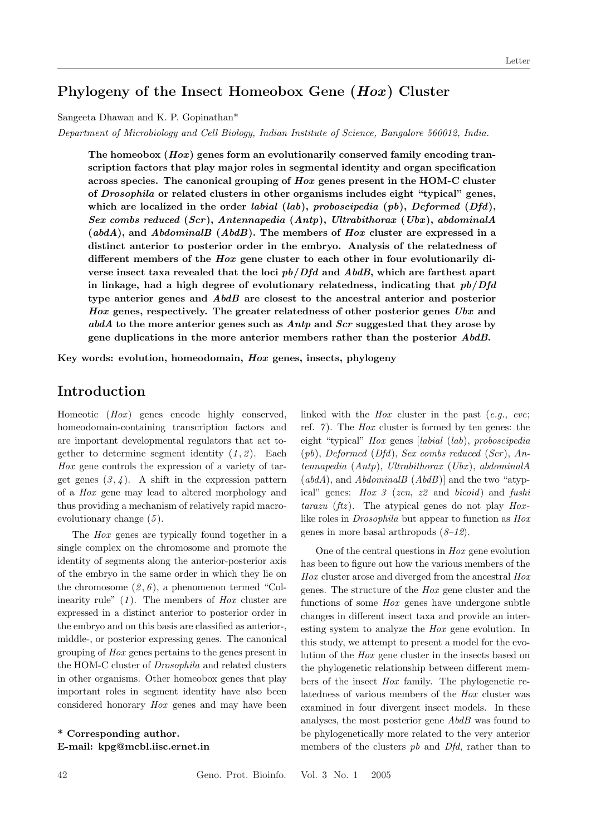# Phylogeny of the Insect Homeobox Gene (Hox) Cluster

Sangeeta Dhawan and K. P. Gopinathan\*

Department of Microbiology and Cell Biology, Indian Institute of Science, Bangalore 560012, India.

The homeobox  $(Hox)$  genes form an evolutionarily conserved family encoding transcription factors that play major roles in segmental identity and organ specification across species. The canonical grouping of  $H\alpha x$  genes present in the HOM-C cluster of Drosophila or related clusters in other organisms includes eight "typical" genes, which are localized in the order labial (lab), proboscipedia (pb), Deformed (Dfd), Sex combs reduced (Scr), Antennapedia (Antp), Ultrabithorax (Ubx), abdominalA  $(abdA)$ , and  $AbdominalB$   $(AbdB)$ . The members of Hox cluster are expressed in a distinct anterior to posterior order in the embryo. Analysis of the relatedness of different members of the Hox gene cluster to each other in four evolutionarily diverse insect taxa revealed that the loci  $pb/Dfd$  and  $AbdB$ , which are farthest apart in linkage, had a high degree of evolutionary relatedness, indicating that  $pb/Dfd$ type anterior genes and AbdB are closest to the ancestral anterior and posterior Hox genes, respectively. The greater relatedness of other posterior genes Ubx and abdA to the more anterior genes such as Antp and Scr suggested that they arose by gene duplications in the more anterior members rather than the posterior AbdB.

Key words: evolution, homeodomain, Hox genes, insects, phylogeny

# Introduction

Homeotic  $(Hox)$  genes encode highly conserved, homeodomain-containing transcription factors and are important developmental regulators that act together to determine segment identity  $(1, 2)$ . Each Hox gene controls the expression of a variety of target genes  $(3, 4)$ . A shift in the expression pattern of a Hox gene may lead to altered morphology and thus providing a mechanism of relatively rapid macroevolutionary change  $(5)$ .

The Hox genes are typically found together in a single complex on the chromosome and promote the identity of segments along the anterior-posterior axis of the embryo in the same order in which they lie on the chromosome  $(2, 6)$ , a phenomenon termed "Colinearity rule"  $(1)$ . The members of *Hox* cluster are expressed in a distinct anterior to posterior order in the embryo and on this basis are classified as anterior-, middle-, or posterior expressing genes. The canonical grouping of Hox genes pertains to the genes present in the HOM-C cluster of Drosophila and related clusters in other organisms. Other homeobox genes that play important roles in segment identity have also been considered honorary Hox genes and may have been

\* Corresponding author. E-mail: kpg@mcbl.iisc.ernet.in linked with the  $Hox$  cluster in the past  $(e.g.,\;eve;$ ref.  $\gamma$ ). The *Hox* cluster is formed by ten genes: the eight "typical" Hox genes [labial (lab), proboscipedia  $(pb)$ , Deformed  $(Dfd)$ , Sex combs reduced  $(Scr)$ , An $tennapedia$   $(Antp)$ ,  $Ultrability\_at$   $(Ubx)$ ,  $abdominalA$  $(abdA)$ , and  $AbdominalB (AbdB)$  and the two "atypical" genes: Hox 3 (zen, z2 and bicoid) and fushi tarazu (ftz). The atypical genes do not play  $Hox$ like roles in Drosophila but appear to function as Hox genes in more basal arthropods  $(8-12)$ .

One of the central questions in Hox gene evolution has been to figure out how the various members of the Hox cluster arose and diverged from the ancestral Hox genes. The structure of the Hox gene cluster and the functions of some Hox genes have undergone subtle changes in different insect taxa and provide an interesting system to analyze the Hox gene evolution. In this study, we attempt to present a model for the evolution of the Hox gene cluster in the insects based on the phylogenetic relationship between different members of the insect Hox family. The phylogenetic relatedness of various members of the Hox cluster was examined in four divergent insect models. In these analyses, the most posterior gene AbdB was found to be phylogenetically more related to the very anterior members of the clusters *pb* and *Dfd*, rather than to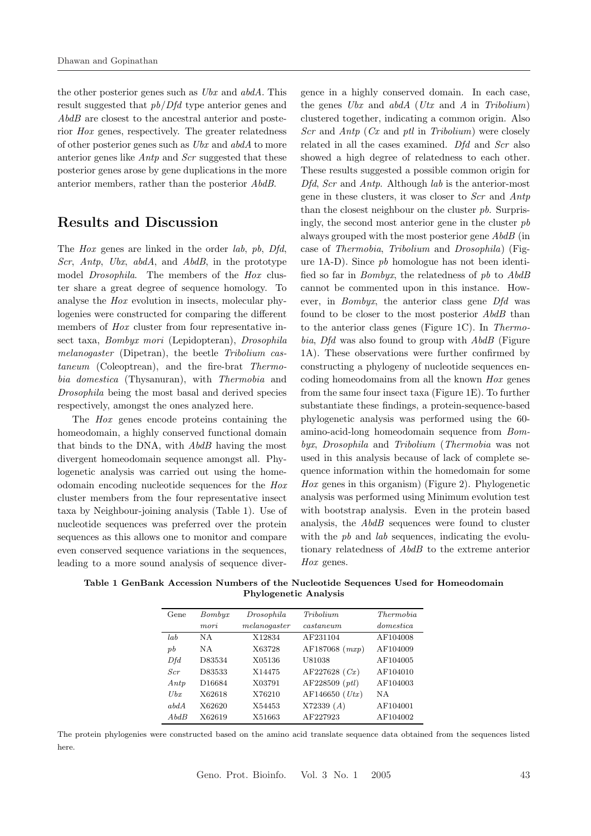the other posterior genes such as  $Ubx$  and  $abdA$ . This result suggested that pb/Dfd type anterior genes and AbdB are closest to the ancestral anterior and posterior Hox genes, respectively. The greater relatedness of other posterior genes such as Ubx and abdA to more anterior genes like Antp and Scr suggested that these posterior genes arose by gene duplications in the more anterior members, rather than the posterior AbdB.

# Results and Discussion

The *Hox* genes are linked in the order *lab*, *pb*, *Dfd*, Scr, Antp, Ubx, abdA, and AbdB, in the prototype model Drosophila. The members of the Hox cluster share a great degree of sequence homology. To analyse the Hox evolution in insects, molecular phylogenies were constructed for comparing the different members of *Hox* cluster from four representative insect taxa, Bombyx mori (Lepidopteran), Drosophila melanogaster (Dipetran), the beetle Tribolium castaneum (Coleoptrean), and the fire-brat Thermobia domestica (Thysanuran), with Thermobia and Drosophila being the most basal and derived species respectively, amongst the ones analyzed here.

The *Hox* genes encode proteins containing the homeodomain, a highly conserved functional domain that binds to the DNA, with AbdB having the most divergent homeodomain sequence amongst all. Phylogenetic analysis was carried out using the homeodomain encoding nucleotide sequences for the Hox cluster members from the four representative insect taxa by Neighbour-joining analysis (Table 1). Use of nucleotide sequences was preferred over the protein sequences as this allows one to monitor and compare even conserved sequence variations in the sequences, leading to a more sound analysis of sequence divergence in a highly conserved domain. In each case, the genes  $Ubx$  and  $abdA$  (Utx and A in Tribolium) clustered together, indicating a common origin. Also  $Scr$  and  $Antp$  (Cx and ptl in Tribolium) were closely related in all the cases examined. Dfd and Scr also showed a high degree of relatedness to each other. These results suggested a possible common origin for Dfd, Scr and Antp. Although lab is the anterior-most gene in these clusters, it was closer to Scr and Antp than the closest neighbour on the cluster pb. Surprisingly, the second most anterior gene in the cluster  $pb$ always grouped with the most posterior gene AbdB (in case of Thermobia, Tribolium and Drosophila) (Figure 1A-D). Since pb homologue has not been identified so far in *Bombyx*, the relatedness of  $pb$  to  $AbdB$ cannot be commented upon in this instance. However, in Bombyx, the anterior class gene Dfd was found to be closer to the most posterior AbdB than to the anterior class genes (Figure 1C). In Thermobia, Dfd was also found to group with AbdB (Figure 1A). These observations were further confirmed by constructing a phylogeny of nucleotide sequences encoding homeodomains from all the known Hox genes from the same four insect taxa (Figure 1E). To further substantiate these findings, a protein-sequence-based phylogenetic analysis was performed using the 60 amino-acid-long homeodomain sequence from Bombyx, Drosophila and Tribolium (Thermobia was not used in this analysis because of lack of complete sequence information within the homedomain for some Hox genes in this organism) (Figure 2). Phylogenetic analysis was performed using Minimum evolution test with bootstrap analysis. Even in the protein based analysis, the AbdB sequences were found to cluster with the  $pb$  and  $lab$  sequences, indicating the evolutionary relatedness of AbdB to the extreme anterior Hox genes.

Table 1 GenBank Accession Numbers of the Nucleotide Sequences Used for Homeodomain Phylogenetic Analysis

| Gene    | Bombyx             | Drosophila     | <i>Tribolium</i>          | <i>Thermobia</i> |
|---------|--------------------|----------------|---------------------------|------------------|
|         | mori               | mela no qaster | $\it{cast an enum}$       | domestic a       |
| lab     | N A                | X12834         | AF231104                  | AF104008         |
| $_{pb}$ | N A                | X63728         | AF187068 $(mxp)$          | AF104009         |
| Dfd     | D83534             | X05136         | U81038                    | AF104005         |
| Scr     | D83533             | X14475         | AF227628 (Cx)             | AF104010         |
| Antp    | D <sub>16684</sub> | X03791         | $AF228509$ ( <i>ptl</i> ) | AF104003         |
| Ubx     | X62618             | X76210         | AF146650 (Utx)            | N A              |
| abdA    | X62620             | X54453         | X72339(A)                 | AF104001         |
| AbdB    | X62619             | X51663         | AF227923                  | AF104002         |

The protein phylogenies were constructed based on the amino acid translate sequence data obtained from the sequences listed here.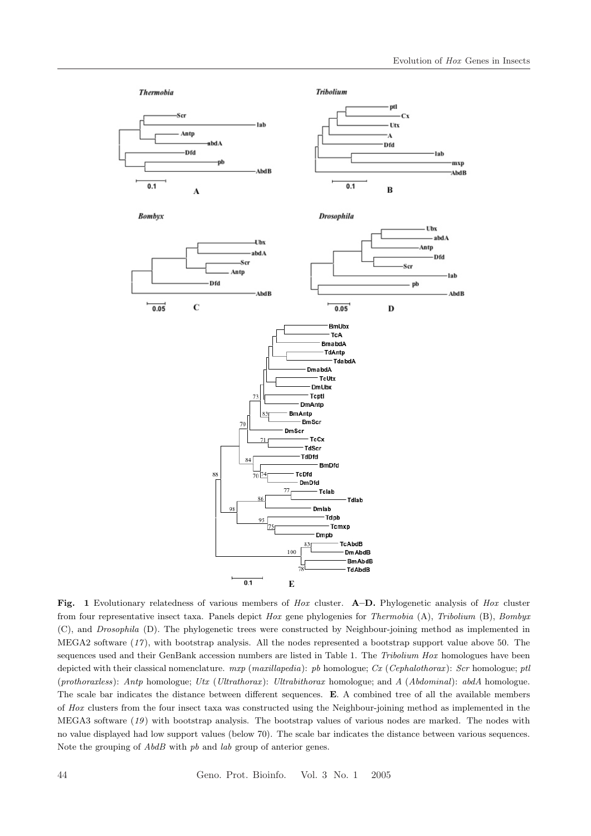

Fig. 1 Evolutionary relatedness of various members of Hox cluster. A–D. Phylogenetic analysis of Hox cluster from four representative insect taxa. Panels depict Hox gene phylogenies for Thermobia (A), Tribolium (B), Bombyx (C), and Drosophila (D). The phylogenetic trees were constructed by Neighbour-joining method as implemented in MEGA2 software (17 ), with bootstrap analysis. All the nodes represented a bootstrap support value above 50. The sequences used and their GenBank accession numbers are listed in Table 1. The Tribolium Hox homologues have been depicted with their classical nomenclature.  $mxp$  (maxillapedia): pb homologue; Cx (Cephalothorax): Scr homologue; ptl (prothoraxless): Antp homologue; Utx (Ultrathorax): Ultrabithorax homologue; and A (Abdominal): abdA homologue. The scale bar indicates the distance between different sequences. E. A combined tree of all the available members of Hox clusters from the four insect taxa was constructed using the Neighbour-joining method as implemented in the MEGA3 software (19 ) with bootstrap analysis. The bootstrap values of various nodes are marked. The nodes with no value displayed had low support values (below 70). The scale bar indicates the distance between various sequences. Note the grouping of  $AbdB$  with pb and lab group of anterior genes.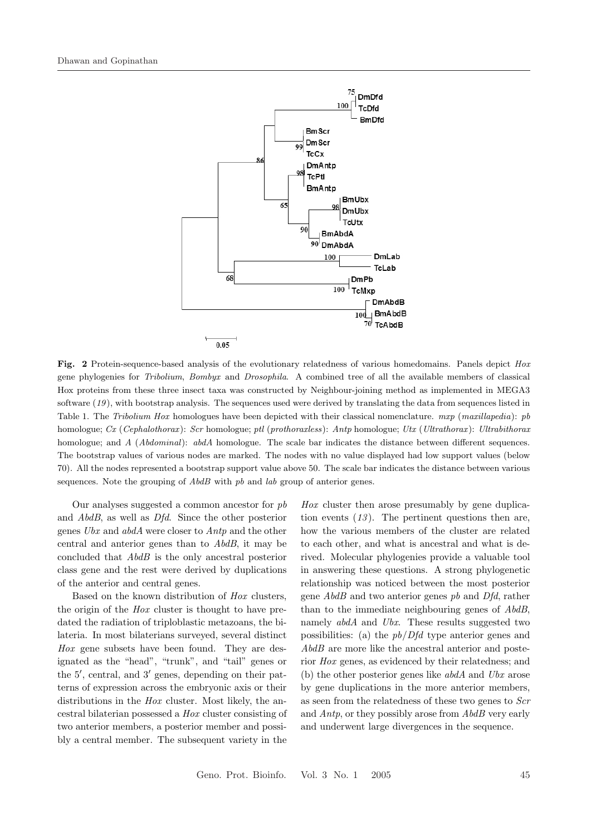

Fig. 2 Protein-sequence-based analysis of the evolutionary relatedness of various homedomains. Panels depict Hox gene phylogenies for Tribolium, Bombyx and Drosophila. A combined tree of all the available members of classical Hox proteins from these three insect taxa was constructed by Neighbour-joining method as implemented in MEGA3 software (19), with bootstrap analysis. The sequences used were derived by translating the data from sequences listed in Table 1. The Tribolium Hox homologues have been depicted with their classical nomenclature. mxp (maxillapedia): pb homologue; Cx (Cephalothorax): Scr homologue; ptl (prothoraxless): Antp homologue; Utx (Ultrathorax ): Ultrabithorax homologue; and A (Abdominal): abdA homologue. The scale bar indicates the distance between different sequences. The bootstrap values of various nodes are marked. The nodes with no value displayed had low support values (below 70). All the nodes represented a bootstrap support value above 50. The scale bar indicates the distance between various sequences. Note the grouping of  $AbdB$  with  $pb$  and  $lab$  group of anterior genes.

Our analyses suggested a common ancestor for  $pb$ and AbdB, as well as Dfd. Since the other posterior genes Ubx and abdA were closer to Antp and the other central and anterior genes than to AbdB, it may be concluded that AbdB is the only ancestral posterior class gene and the rest were derived by duplications of the anterior and central genes.

Based on the known distribution of Hox clusters, the origin of the Hox cluster is thought to have predated the radiation of triploblastic metazoans, the bilateria. In most bilaterians surveyed, several distinct Hox gene subsets have been found. They are designated as the "head", "trunk", and "tail" genes or the 5', central, and 3' genes, depending on their patterns of expression across the embryonic axis or their distributions in the *Hox* cluster. Most likely, the ancestral bilaterian possessed a Hox cluster consisting of two anterior members, a posterior member and possibly a central member. The subsequent variety in the

Hox cluster then arose presumably by gene duplication events  $(13)$ . The pertinent questions then are, how the various members of the cluster are related to each other, and what is ancestral and what is derived. Molecular phylogenies provide a valuable tool in answering these questions. A strong phylogenetic relationship was noticed between the most posterior gene AbdB and two anterior genes pb and Dfd, rather than to the immediate neighbouring genes of AbdB, namely *abdA* and *Ubx*. These results suggested two possibilities: (a) the  $pb/Dfd$  type anterior genes and  $AbdB$  are more like the ancestral anterior and posterior Hox genes, as evidenced by their relatedness; and (b) the other posterior genes like  $ab\,dA$  and  $Ubx$  arose by gene duplications in the more anterior members, as seen from the relatedness of these two genes to Scr and Antp, or they possibly arose from AbdB very early and underwent large divergences in the sequence.